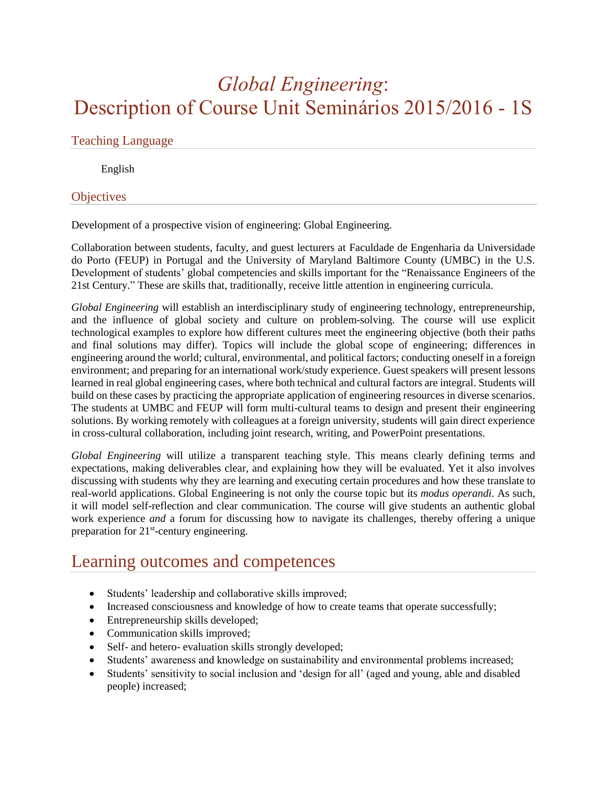# *Global Engineering*: Description of Course Unit Seminários 2015/2016 - 1S

#### Teaching Language

English

#### **Objectives**

Development of a prospective vision of engineering: Global Engineering.

Collaboration between students, faculty, and guest lecturers at Faculdade de Engenharia da Universidade do Porto (FEUP) in Portugal and the University of Maryland Baltimore County (UMBC) in the U.S. Development of students' global competencies and skills important for the "Renaissance Engineers of the 21st Century." These are skills that, traditionally, receive little attention in engineering curricula.

*Global Engineering* will establish an interdisciplinary study of engineering technology, entrepreneurship, and the influence of global society and culture on problem-solving. The course will use explicit technological examples to explore how different cultures meet the engineering objective (both their paths and final solutions may differ). Topics will include the global scope of engineering; differences in engineering around the world; cultural, environmental, and political factors; conducting oneself in a foreign environment; and preparing for an international work/study experience. Guest speakers will present lessons learned in real global engineering cases, where both technical and cultural factors are integral. Students will build on these cases by practicing the appropriate application of engineering resources in diverse scenarios. The students at UMBC and FEUP will form multi-cultural teams to design and present their engineering solutions. By working remotely with colleagues at a foreign university, students will gain direct experience in cross-cultural collaboration, including joint research, writing, and PowerPoint presentations.

*Global Engineering* will utilize a transparent teaching style. This means clearly defining terms and expectations, making deliverables clear, and explaining how they will be evaluated. Yet it also involves discussing with students why they are learning and executing certain procedures and how these translate to real-world applications. Global Engineering is not only the course topic but its *modus operandi*. As such, it will model self-reflection and clear communication. The course will give students an authentic global work experience *and* a forum for discussing how to navigate its challenges, thereby offering a unique preparation for 21<sup>st</sup>-century engineering.

### Learning outcomes and competences

- Students' leadership and collaborative skills improved;
- Increased consciousness and knowledge of how to create teams that operate successfully;
- Entrepreneurship skills developed;
- Communication skills improved;
- Self- and hetero- evaluation skills strongly developed;
- Students' awareness and knowledge on sustainability and environmental problems increased;
- Students' sensitivity to social inclusion and 'design for all' (aged and young, able and disabled people) increased;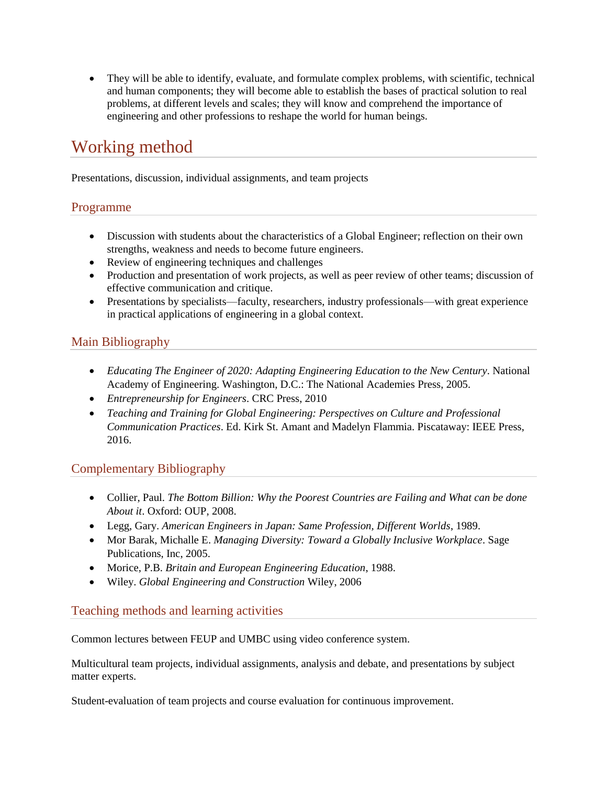• They will be able to identify, evaluate, and formulate complex problems, with scientific, technical and human components; they will become able to establish the bases of practical solution to real problems, at different levels and scales; they will know and comprehend the importance of engineering and other professions to reshape the world for human beings.

## Working method

Presentations, discussion, individual assignments, and team projects

#### Programme

- Discussion with students about the characteristics of a Global Engineer; reflection on their own strengths, weakness and needs to become future engineers.
- Review of engineering techniques and challenges
- Production and presentation of work projects, as well as peer review of other teams; discussion of effective communication and critique.
- Presentations by specialists—faculty, researchers, industry professionals—with great experience in practical applications of engineering in a global context.

#### Main Bibliography

- *Educating The Engineer of 2020: Adapting Engineering Education to the New Century*. National Academy of Engineering. Washington, D.C.: The National Academies Press, 2005.
- *Entrepreneurship for Engineers*. CRC Press, 2010
- *Teaching and Training for Global Engineering: Perspectives on Culture and Professional Communication Practices*. Ed. Kirk St. Amant and Madelyn Flammia. Piscataway: IEEE Press, 2016.

#### Complementary Bibliography

- Collier, Paul. *The Bottom Billion: Why the Poorest Countries are Failing and What can be done About it*. Oxford: OUP, 2008.
- Legg, Gary. *American Engineers in Japan: Same Profession, Different Worlds*, 1989.
- Mor Barak, Michalle E. *Managing Diversity: Toward a Globally Inclusive Workplace*. Sage Publications, Inc, 2005.
- Morice, P.B. *Britain and European Engineering Education*, 1988.
- Wiley. *Global Engineering and Construction* Wiley, 2006

#### Teaching methods and learning activities

Common lectures between FEUP and UMBC using video conference system.

Multicultural team projects, individual assignments, analysis and debate, and presentations by subject matter experts.

Student-evaluation of team projects and course evaluation for continuous improvement.